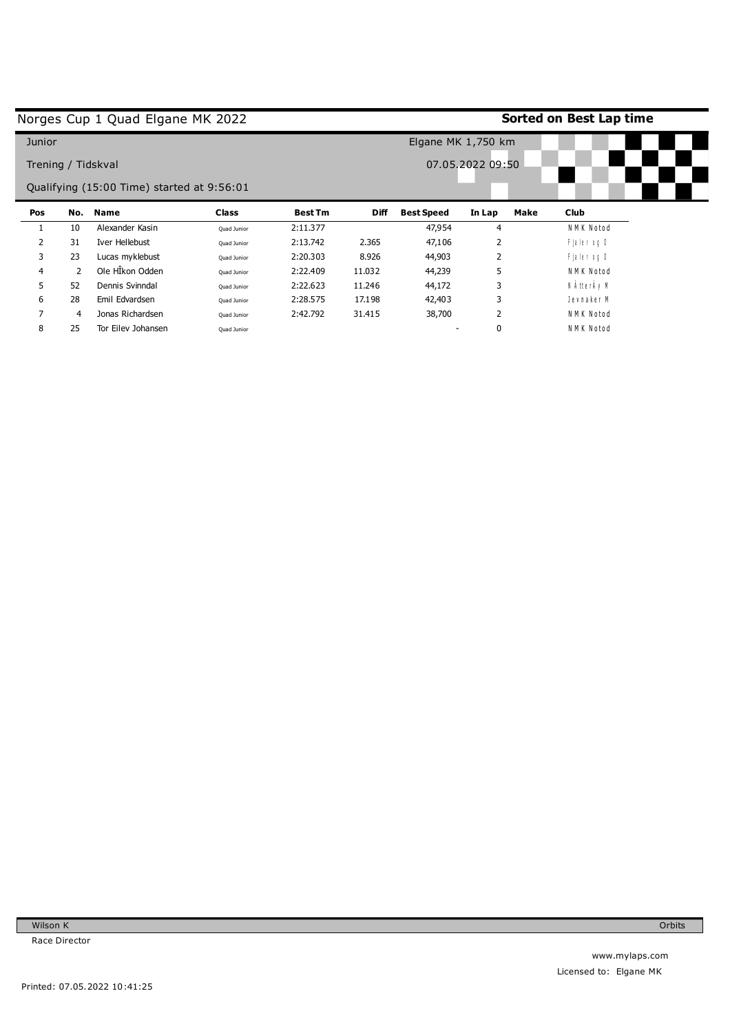|                    |     | Norges Cup 1 Quad Elgane MK 2022           |              |                |             |                   |                    |      | Sorted on Best Lap time |  |
|--------------------|-----|--------------------------------------------|--------------|----------------|-------------|-------------------|--------------------|------|-------------------------|--|
| Junior             |     |                                            |              |                |             |                   | Elgane MK 1,750 km |      |                         |  |
| Trening / Tidskval |     |                                            |              |                |             |                   | 07.05.2022 09:50   |      |                         |  |
|                    |     | Qualifying (15:00 Time) started at 9:56:01 |              |                |             |                   |                    |      |                         |  |
| Pos                | No. | Name                                       | <b>Class</b> | <b>Best Tm</b> | <b>Diff</b> | <b>Best Speed</b> | In Lap             | Make | <b>Club</b>             |  |
|                    | 10  | Alexander Kasin                            | Quad Junior  | 2:11.377       |             | 47,954            | 4                  |      | NMK Notod               |  |
| 2                  | 31  | Iver Hellebust                             | Ouad Junior  | 2:13.742       | 2.365       | 47,106            | 2                  |      | Fjaler og O             |  |
| 3                  | 23  | Lucas myklebust                            | Quad Junior  | 2:20.303       | 8.926       | 44,903            | 2                  |      | Fjaler og O             |  |
| 4                  | 2   | Ole HÎkon Odden                            | Ouad Junior  | 2:22.409       | 11.032      | 44,239            | 5                  |      | NMK Notod               |  |
| 5.                 | 52  | Dennis Svinndal                            | Quad Junior  | 2:22.623       | 11.246      | 44,172            | 3                  |      | N ÀtterÀy M             |  |
| 6                  | 28  | Emil Edvardsen                             | Quad Junior  | 2:28.575       | 17.198      | 42,403            | 3                  |      | Jevnaker M              |  |
| 7                  | 4   | Jonas Richardsen                           | Quad Junior  | 2:42.792       | 31.415      | 38,700            | $\overline{2}$     |      | NMK Notod               |  |
| 8                  | 25  | Tor Eiley Johansen                         | Quad Junior  |                |             |                   | 0                  |      | NMK Notod               |  |

Printed: 07.05.2022 10:41:25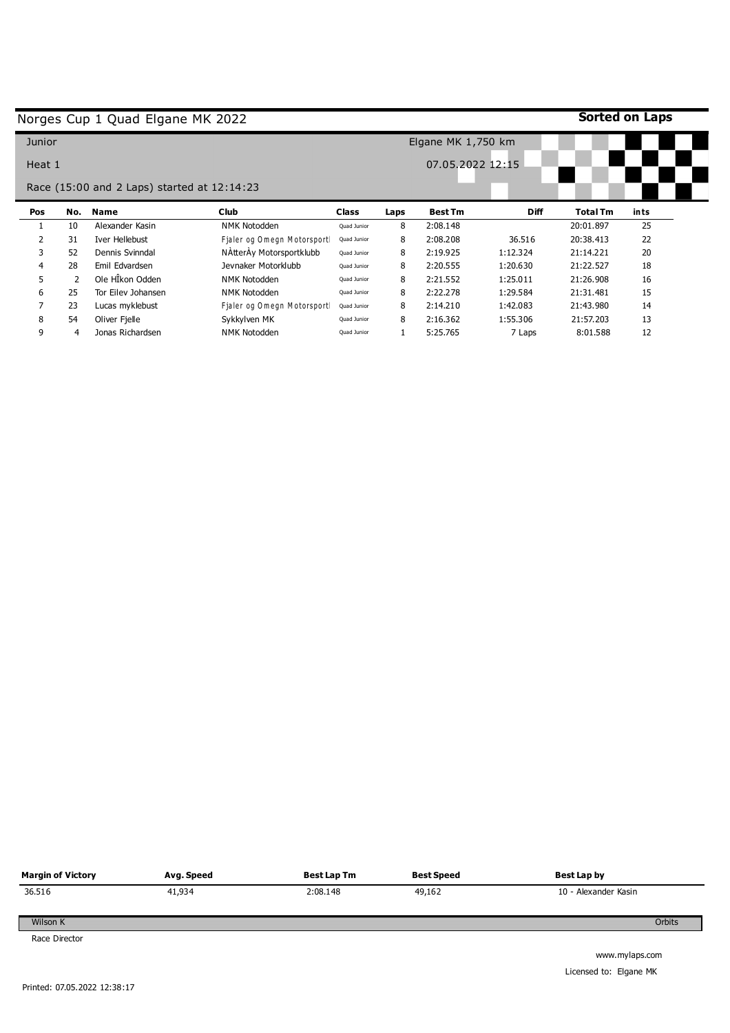|                |                | Norges Cup 1 Quad Elgane MK 2022            |                            |              |        |                      |             | <b>Sorted on Laps</b>  |            |
|----------------|----------------|---------------------------------------------|----------------------------|--------------|--------|----------------------|-------------|------------------------|------------|
| Junior         |                |                                             |                            |              |        | Elgane MK $1,750$ km |             |                        |            |
| Heat 1         |                |                                             |                            |              |        | 07.05.2022 12:15     |             |                        |            |
|                |                | Race (15:00 and 2 Laps) started at 12:14:23 |                            |              |        |                      |             |                        |            |
| Pos            | No.            | <b>Name</b>                                 | <b>Club</b>                | <b>Class</b> | Laps   | <b>Best Tm</b>       | <b>Diff</b> | <b>Total Tm</b>        | ints<br>25 |
| $\overline{2}$ | 10<br>31       | Alexander Kasin                             | <b>NMK Notodden</b>        | Quad Junior  | 8<br>8 | 2:08.148             | 36.516      | 20:01.897<br>20:38.413 | 22         |
|                |                | Iver Hellebust                              | Fialer og Omegn Motorsport | Quad Junior  |        | 2:08.208             |             | 21:14.221              | 20         |
| 3              | 52             | Dennis Svinndal                             | NAtterAy Motorsportklubb   | Quad Junior  | 8      | 2:19.925             | 1:12.324    |                        |            |
|                |                |                                             |                            |              |        |                      |             |                        |            |
| 4              | 28             | Emil Edvardsen                              | Jevnaker Motorklubb        | Quad Junior  | 8      | 2:20.555             | 1:20.630    | 21:22.527              | 18         |
| 5              | $\overline{2}$ | Ole HÎkon Odden                             | NMK Notodden               | Quad Junior  | 8      | 2:21.552             | 1:25.011    | 21:26.908              | 16         |
| 6              | 25             | Tor Eiley Johansen                          | NMK Notodden               | Ouad Junior  | 8      | 2:22.278             | 1:29.584    | 21:31.481              | 15         |
|                | 23             | Lucas myklebust                             | Fjaler og Omegn Motorsport | Quad Junior  | 8      | 2:14.210             | 1:42.083    | 21:43.980              | 14         |
| 8              | 54             | Oliver Fielle                               | Sykkylven MK               | Quad Junior  | 8      | 2:16.362             | 1:55.306    | 21:57.203              | 13         |



Licensed to: Elgane MK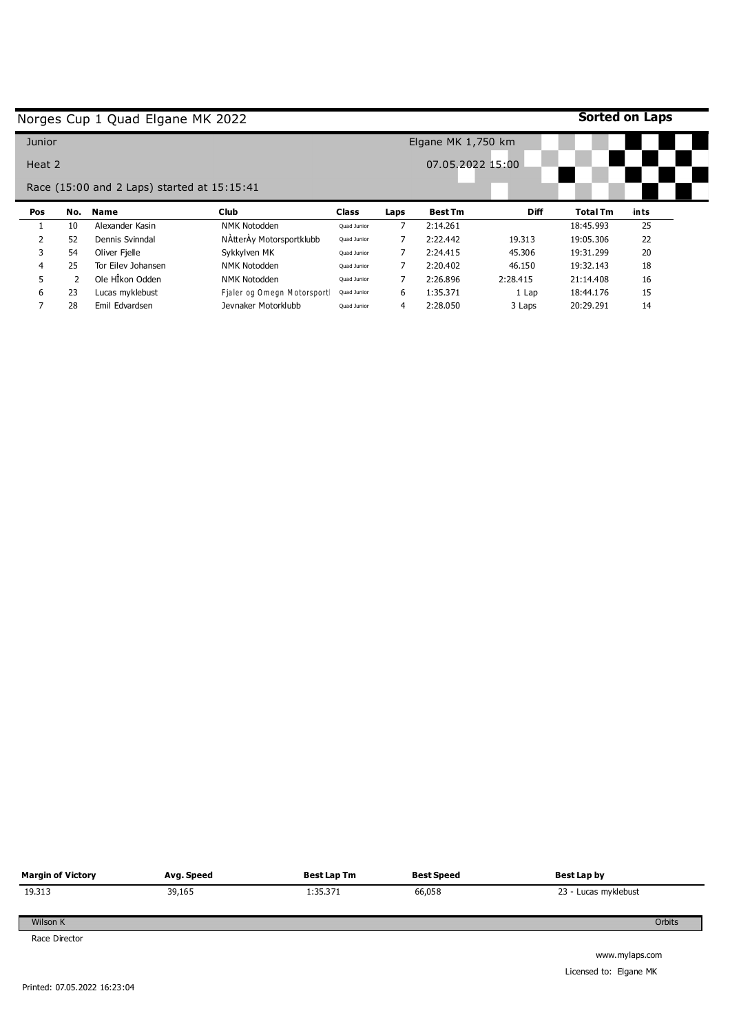|        |     | Norges Cup 1 Quad Elgane MK 2022            |                            |                      |      |                  |             | <b>Sorted on Laps</b> |      |
|--------|-----|---------------------------------------------|----------------------------|----------------------|------|------------------|-------------|-----------------------|------|
| Junior |     |                                             |                            | Elgane MK $1,750$ km |      |                  |             |                       |      |
| Heat 2 |     | Race (15:00 and 2 Laps) started at 15:15:41 |                            |                      |      | 07.05.2022 15:00 |             |                       |      |
| Pos    | No. | <b>Name</b>                                 | <b>Club</b>                | <b>Class</b>         | Laps | <b>Best Tm</b>   | <b>Diff</b> | <b>Total Tm</b>       |      |
|        |     |                                             |                            |                      |      |                  |             |                       | ints |
|        | 10  | Alexander Kasin                             | <b>NMK Notodden</b>        | Quad Junior          | 7    | 2:14.261         |             | 18:45.993             | 25   |
|        | 52  | Dennis Svinndal                             | NAtterAy Motorsportklubb   | Quad Junior          |      | 2:22.442         | 19.313      | 19:05.306             | 22   |
| 3      | 54  | Oliver Fielle                               | Sykkylven MK               | Quad Junior          | 7    | 2:24.415         | 45.306      | 19:31.299             | 20   |
| 4      | 25  | Tor Eilev Johansen                          | NMK Notodden               | Quad Junior          | 7    | 2:20.402         | 46.150      | 19:32.143             | 18   |
| 5      | 2   | Ole HÎkon Odden                             | NMK Notodden               | Quad Junior          |      | 2:26.896         | 2:28.415    | 21:14.408             | 16   |
| 6      | 23  | Lucas myklebust                             | Fialer og Omegn Motorsport | Quad Junior          | 6    | 1:35.371         | 1 Lap       | 18:44.176             | 15   |

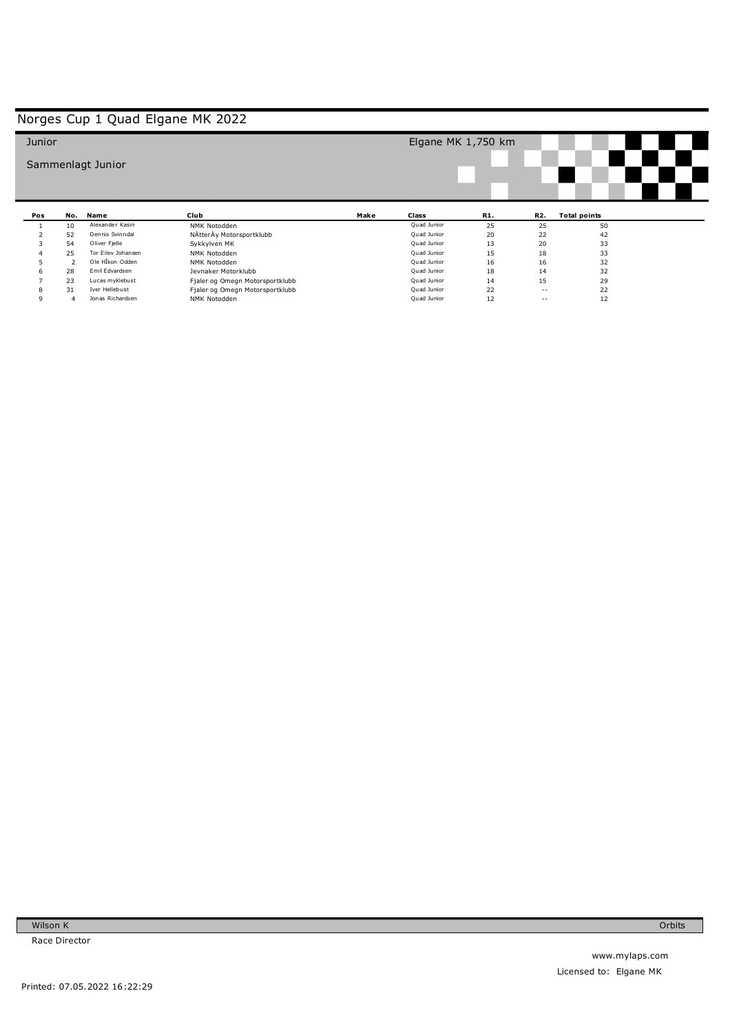| Junior |     |                    |                                 |      | Elgane MK 1,750 km |     |               |                     |  |
|--------|-----|--------------------|---------------------------------|------|--------------------|-----|---------------|---------------------|--|
|        |     | Sammenlagt Junior  |                                 |      |                    |     |               |                     |  |
|        |     |                    |                                 |      |                    |     |               |                     |  |
|        |     |                    |                                 |      |                    |     |               |                     |  |
| Pos    | No. | Name               | Club                            | Make | Class              | R1. | R2.           | <b>Total points</b> |  |
|        | 10  | Alexander Kasin    | NMK Notodden                    |      | Quad Junior        | 25  | 25            | 50                  |  |
|        | 52  | Dennis Svinndal    | NAtterAy Motorsportklubb        |      | Quad Junior        | 20  | 22            | 42                  |  |
| 3      | 54  | Oliver Fjelle      | Sykkylven MK                    |      | Quad Junior        | 13  | 20            | 33                  |  |
|        | 25  | Tor Eilev Johansen | NMK Notodden                    |      | Quad Junior        | 15  | 18            | 33                  |  |
|        |     | Ole HÎkon Odden    | NMK Notodden                    |      | Quad Junior        | 16  | 16            | 32                  |  |
| b      | 28  | Emil Edvardsen     | Jevnaker Motorklubb             |      | Quad Junior        | 18  | 14            | 32                  |  |
|        | 23  | Lucas myklebust    | Fjaler og Omegn Motorsportklubb |      | Quad Junior        | 14  | 15            | 29                  |  |
|        |     |                    |                                 |      |                    |     |               |                     |  |
| 8      | 31  | Iver Hellebust     | Fjaler og Omegn Motorsportklubb |      | Quad Junior        | 22  | $\frac{1}{2}$ | 22                  |  |

Wilson K Race Director

### Printed: 07.05.2022 16:22:29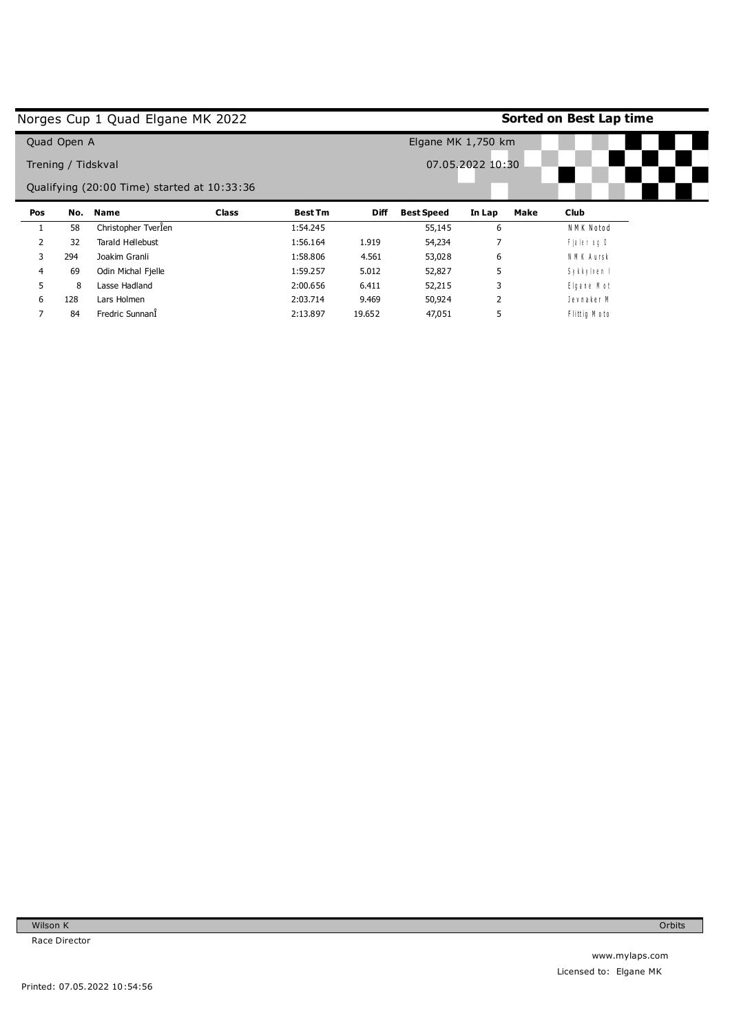|     |                    | Norges Cup 1 Quad Elgane MK 2022            |              |                |                    | Sorted on Best Lap time |                  |             |  |  |
|-----|--------------------|---------------------------------------------|--------------|----------------|--------------------|-------------------------|------------------|-------------|--|--|
|     | Quad Open A        |                                             |              |                | Elgane MK 1,750 km |                         |                  |             |  |  |
|     | Trening / Tidskval |                                             |              |                |                    |                         | 07.05.2022 10:30 |             |  |  |
|     |                    | Qualifying (20:00 Time) started at 10:33:36 |              |                |                    |                         |                  |             |  |  |
|     |                    |                                             |              |                |                    |                         |                  |             |  |  |
| Pos | No.                | <b>Name</b>                                 | <b>Class</b> | <b>Best Tm</b> | <b>Diff</b>        | <b>Best Speed</b>       | Make<br>In Lap   | <b>Club</b> |  |  |
|     | 58                 | Christopher TverÎen                         |              | 1:54.245       |                    | 55,145                  | 6                | NMK Notod   |  |  |
| 2   | 32                 | Tarald Hellebust                            |              | 1:56.164       | 1.919              | 54,234                  | ⇁                | Fjaler og O |  |  |
| 3   | 294                | Joakim Granli                               |              | 1:58.806       | 4.561              | 53,028                  | 6                | NMK Aursk   |  |  |
| 4   | 69                 | Odin Michal Fjelle                          |              | 1:59.257       | 5.012              | 52,827                  | 5                | Sykkylven I |  |  |
| 5.  | 8                  | Lasse Hadland                               |              | 2:00.656       | 6.411              | 52,215                  | 3                | Elgane Mot  |  |  |
| 6   | 128                | Lars Holmen                                 |              | 2:03.714       | 9.469              | 50,924                  |                  | Jevnaker M  |  |  |

19.652 47,051 5

2:13.897

### Printed: 07.05.2022 10:54:56

Wilson K Race Director

7

84 Fredric SunnanÎ

Orbits

 $F$  littig  $M$  o to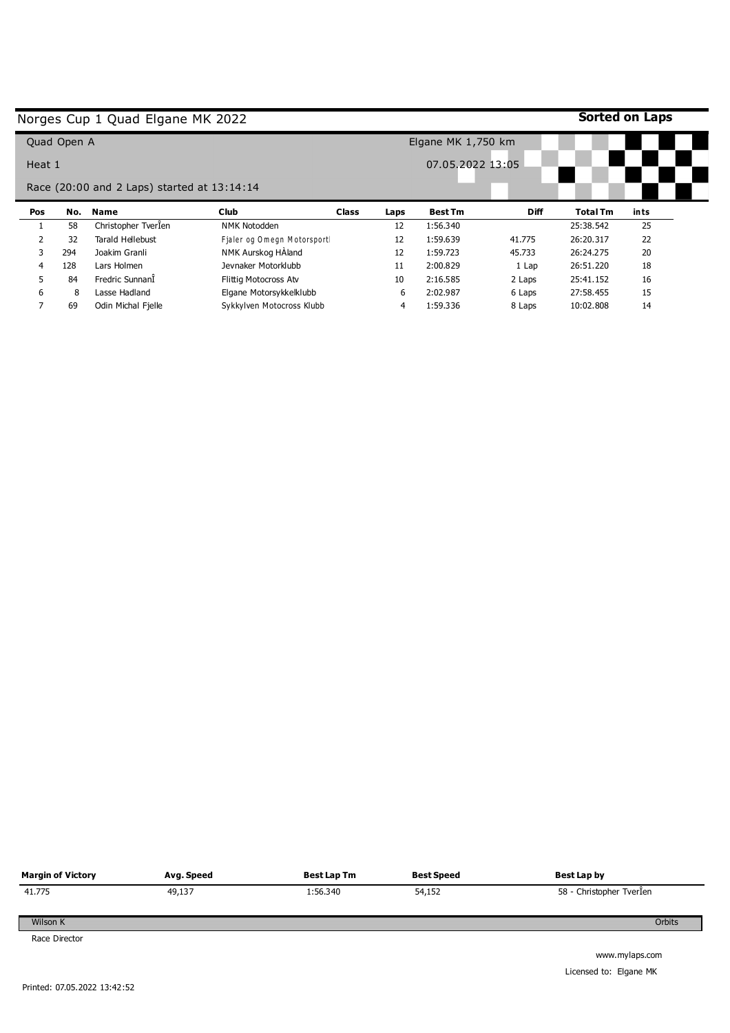|                |             | Norges Cup 1 Quad Elgane MK 2022            |                            |              |                    |                  |             | Sorted on Laps  |      |
|----------------|-------------|---------------------------------------------|----------------------------|--------------|--------------------|------------------|-------------|-----------------|------|
|                | Quad Open A |                                             |                            |              | Elgane MK 1,750 km |                  |             |                 |      |
| Heat 1         |             |                                             |                            |              |                    | 07.05.2022 13:05 |             |                 |      |
|                |             | Race (20:00 and 2 Laps) started at 13:14:14 |                            |              |                    |                  |             |                 |      |
| Pos            | No.         | Name                                        | <b>Club</b>                | <b>Class</b> | Laps               | <b>Best Tm</b>   | <b>Diff</b> | <b>Total Tm</b> | ints |
|                | 58          | Christopher Tverlen                         | <b>NMK Notodden</b>        |              | 12                 | 1:56.340         |             | 25:38.542       | 25   |
|                |             |                                             |                            |              |                    |                  |             |                 |      |
| $\overline{2}$ | 32          | Tarald Hellebust                            | Fjaler og Omegn Motorsport |              | 12                 | 1:59.639         | 41.775      | 26:20.317       | 22   |
| 3              | 294         | Joakim Granli                               | NMK Aurskog HAland         |              | 12                 | 1:59.723         | 45.733      | 26:24.275       | 20   |
| 4              | 128         | Lars Holmen                                 | Jevnaker Motorklubb        |              | 11                 | 2:00.829         | 1 Lap       | 26:51.220       | 18   |
| 5.             | 84          | Fredric SunnanÎ                             | Flittig Motocross Atv      |              | 10                 | 2:16.585         | 2 Laps      | 25:41.152       | 16   |
| 6              | 8           | Lasse Hadland                               | Elgane Motorsykkelklubb    |              | 6                  | 2:02.987         | 6 Laps      | 27:58.455       | 15   |

| <b>Margin of Victory</b> | Avg. Speed | Best Lap Tm | <b>Best Speed</b> | Best Lap by              |
|--------------------------|------------|-------------|-------------------|--------------------------|
| 41.775                   | 49,137     | 1:56.340    | 54,152            | 58 - Christopher Tverlen |
| Wilson K                 |            |             |                   | Orbits                   |
| Race Director            |            |             |                   | www.mvlaps.com           |

mylaps.co Licensed to: Elgane MK  $\overline{\phantom{a}}$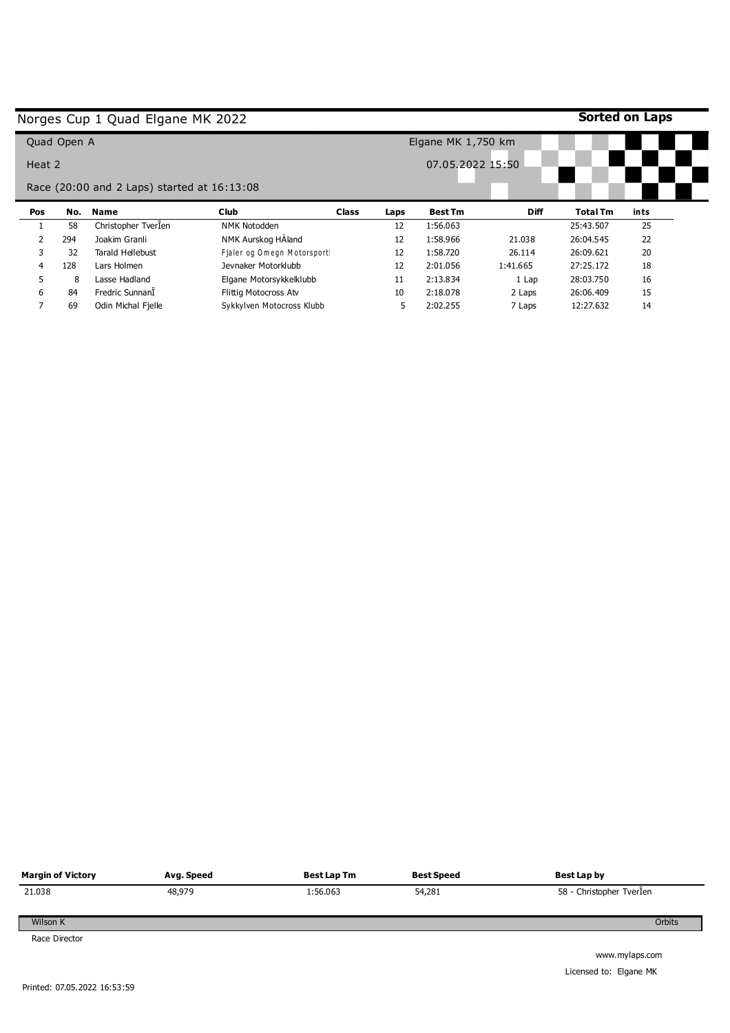|        |             | Norges Cup 1 Quad Elgane MK 2022            |                            |              |                    |                  |             | Sorted on Laps  |      |
|--------|-------------|---------------------------------------------|----------------------------|--------------|--------------------|------------------|-------------|-----------------|------|
|        | Quad Open A |                                             |                            |              | Elgane MK 1,750 km |                  |             |                 |      |
| Heat 2 |             |                                             |                            |              |                    | 07.05.2022 15:50 |             |                 |      |
|        |             | Race (20:00 and 2 Laps) started at 16:13:08 |                            |              |                    |                  |             |                 |      |
| Pos    | No.         | <b>Name</b>                                 | <b>Club</b>                | <b>Class</b> | Laps               | <b>Best Tm</b>   | <b>Diff</b> | <b>Total Tm</b> | ints |
|        |             |                                             |                            |              |                    |                  |             |                 |      |
|        | 58          | Christopher Tverlen                         | <b>NMK Notodden</b>        |              | 12                 | 1:56.063         |             | 25:43.507       | 25   |
|        | 294         | Joakim Granli                               | NMK Aurskog HAland         |              | 12                 | 1:58.966         | 21.038      | 26:04.545       | 22   |
| 3      | 32          | Tarald Hellebust                            | Fjaler og Omegn Motorsport |              | 12                 | 1:58.720         | 26.114      | 26:09.621       | 20   |
| 4      | 128         | Lars Holmen                                 | Jevnaker Motorklubb        |              | 12                 | 2:01.056         | 1:41.665    | 27:25.172       | 18   |
| 5      | 8           | Lasse Hadland                               | Elgane Motorsykkelklubb    |              | 11                 | 2:13.834         | 1 Lap       | 28:03.750       | 16   |
| 6      | 84          | Fredric SunnanÎ                             | Flittig Motocross Atv      |              | 10                 | 2:18.078         | 2 Laps      | 26:06.409       | 15   |

| <b>Margin of Victory</b> | Avg. Speed | Best Lap Tm | <b>Best Speed</b> | Best Lap by                                                                                                     |
|--------------------------|------------|-------------|-------------------|-----------------------------------------------------------------------------------------------------------------|
| 21.038                   | 48,979     | 1:56.063    | 54,281            | 58 - Christopher Tverlen                                                                                        |
| Wilson K                 |            |             |                   | Orbits                                                                                                          |
| Race Director            |            |             |                   | the contract of the contract of the contract of the contract of the contract of the contract of the contract of |

www.mylaps.com Licensed to: Elgane MK

 $\mathbf{r}$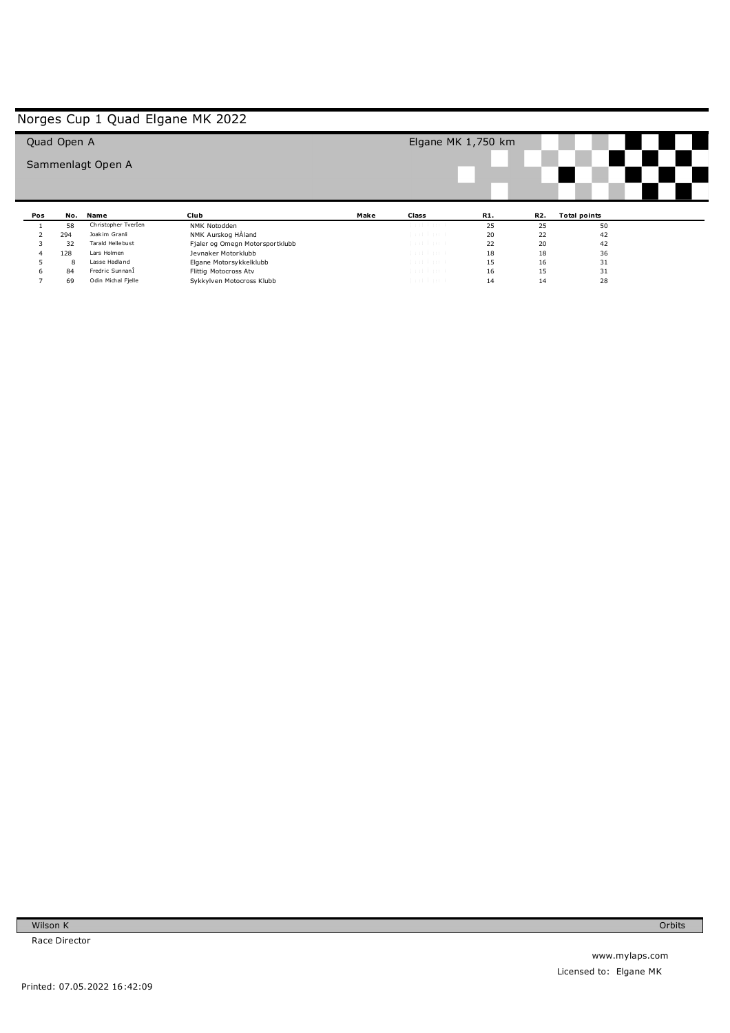|     | Quad Open A |                     |                                 |      | Elgane MK $1,750$ km |     |           |                           |  |  |
|-----|-------------|---------------------|---------------------------------|------|----------------------|-----|-----------|---------------------------|--|--|
|     |             | Sammenlagt Open A   |                                 |      |                      |     |           |                           |  |  |
|     |             |                     |                                 |      |                      |     |           |                           |  |  |
|     |             |                     |                                 |      |                      |     |           |                           |  |  |
|     | No.         | Name                | Club                            |      |                      | R1. |           |                           |  |  |
| Pos | 58          | Christopher Tverlen | NMK Notodden                    | Make | Class                | 25  | R2.<br>25 | <b>Total points</b><br>50 |  |  |
|     | 294         | Joakim Granli       | NMK Aurskog HAland              |      | that has to          | 20  | 22        | 42                        |  |  |
|     | 32          | Tarald Hellebust    | Fjaler og Omegn Motorsportklubb |      | dan bina b           | 22  | 20        | 42                        |  |  |
|     | 128         | Lars Holmen         | Jevnaker Motorklubb             |      | dan bari             | 18  | 18        | 36                        |  |  |
|     | 8           | Lasse Hadland       | Elgane Motorsykkelklubb         |      | dan banda            | 15  | 16        | 31                        |  |  |
| 6   | 84          | Fredric SunnanÎ     | Flittig Motocross Atv           |      | dan bina b           | 16  | 15        | 31                        |  |  |

Wilson K Race Director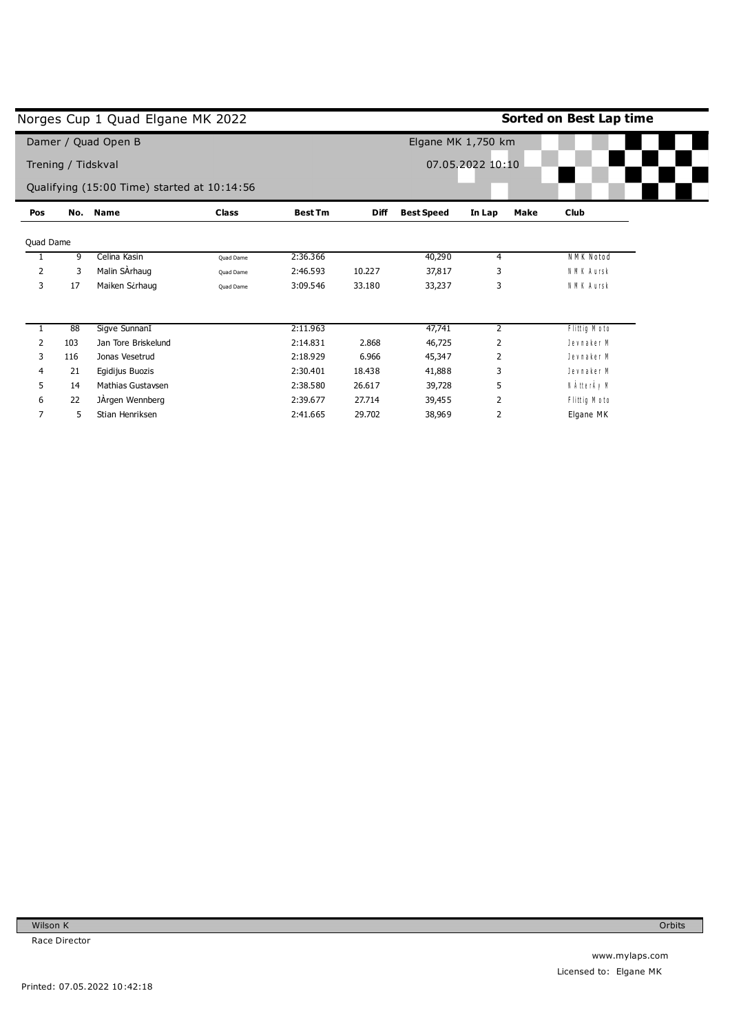|           |                    | Norges Cup 1 Quad Elgane MK 2022            |              |                |             |                   |                    | Sorted on Best Lap time |
|-----------|--------------------|---------------------------------------------|--------------|----------------|-------------|-------------------|--------------------|-------------------------|
|           |                    | Damer / Quad Open B                         |              |                |             |                   | Elgane MK 1,750 km |                         |
|           | Trening / Tidskval |                                             |              |                |             |                   | 07.05.2022 10:10   |                         |
|           |                    | Qualifying (15:00 Time) started at 10:14:56 |              |                |             |                   |                    |                         |
| Pos       | No.                | <b>Name</b>                                 | <b>Class</b> | <b>Best Tm</b> | <b>Diff</b> | <b>Best Speed</b> | Make<br>In Lap     | Club                    |
| Quad Dame |                    |                                             |              |                |             |                   |                    |                         |
|           | 9                  | Celina Kasin                                | Quad Dame    | 2:36.366       |             | 40,290            | 4                  | NMK Notod               |
| 2         | 3                  | Malin SArhaug                               | Quad Dame    | 2:46.593       | 10.227      | 37,817            | 3                  | N M K A ursk            |
| 3         | 17                 | Maiken Scrhaug                              | Ouad Dame    | 3:09.546       | 33.180      | 33,237            | 3                  | N M K A ursk            |
|           | 88                 | Sigve SunnanI                               |              | 2:11.963       |             | 47,741            | $\overline{2}$     | Flittig M oto           |
| 2         | 103                | Jan Tore Briskelund                         |              | 2:14.831       | 2.868       | 46,725            | 2                  | Jevnaker M              |
| 3         | 116                | Jonas Vesetrud                              |              | 2:18.929       | 6.966       | 45,347            | 2                  | Jevnaker M              |
| 4         | 21                 | Egidijus Buozis                             |              | 2:30.401       | 18.438      | 41,888            | 3                  | Jevnaker M              |
| 5         | 14                 | <b>Mathias Gustavsen</b>                    |              | 2:38.580       | 26.617      | 39,728            | 5                  | N ÀtterÀy M             |
| 6         | 22                 | JÄrgen Wennberg                             |              | 2:39.677       | 27.714      | 39,455            | 2                  | Flittig M oto           |
| 7         | 5                  | Stian Henriksen                             |              | 2:41.665       | 29.702      | 38,969            | 2                  | Elgane MK               |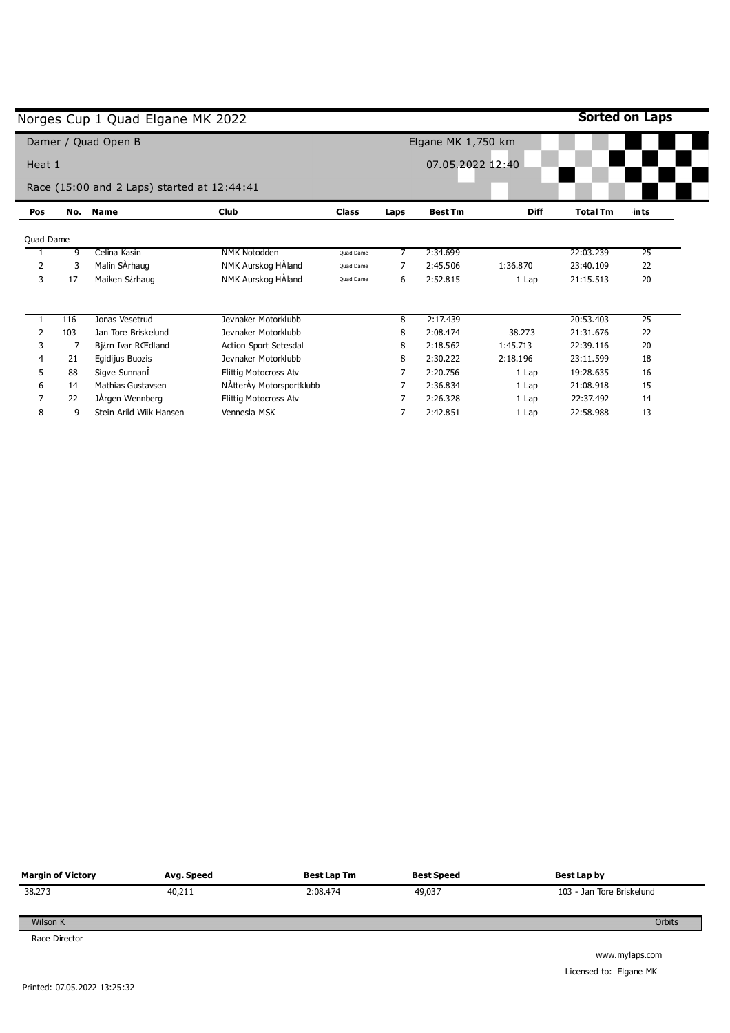|                |     | Norges Cup 1 Quad Elgane MK 2022            |                              |              |                  |                    |             |                 | Sorted on Laps  |
|----------------|-----|---------------------------------------------|------------------------------|--------------|------------------|--------------------|-------------|-----------------|-----------------|
|                |     | Damer / Quad Open B                         |                              |              |                  | Elgane MK 1,750 km |             |                 |                 |
| Heat 1         |     |                                             |                              |              | 07.05.2022 12:40 |                    |             |                 |                 |
|                |     | Race (15:00 and 2 Laps) started at 12:44:41 |                              |              |                  |                    |             |                 |                 |
| Pos            | No. | <b>Name</b>                                 | <b>Club</b>                  | <b>Class</b> | Laps             | <b>Best Tm</b>     | <b>Diff</b> | <b>Total Tm</b> | ints            |
| Quad Dame      |     |                                             |                              |              |                  |                    |             |                 |                 |
|                | 9   | Celina Kasin                                | <b>NMK Notodden</b>          | Quad Dame    | 7                | 2:34.699           |             | 22:03.239       | 25              |
| $\overline{2}$ | 3   | Malin SArhaug                               | NMK Aurskog HAland           | Quad Dame    | 7                | 2:45.506           | 1:36.870    | 23:40.109       | 22              |
| 3              | 17  | Maiken Sirhaug                              | NMK Aurskog HAland           | Quad Dame    | 6                | 2:52.815           | 1 Lap       | 21:15.513       | 20              |
|                | 116 | Jonas Vesetrud                              | Jevnaker Motorklubb          |              | 8                | 2:17.439           |             | 20:53.403       | $\overline{25}$ |
| 2              | 103 | Jan Tore Briskelund                         | Jevnaker Motorklubb          |              | 8                | 2:08.474           | 38.273      | 21:31.676       | 22              |
| 3              | 7   | Bj¿rn Ivar RŒdland                          | <b>Action Sport Setesdal</b> |              | 8                | 2:18.562           | 1:45.713    | 22:39.116       | 20              |
| 4              | 21  | Egidijus Buozis                             | Jevnaker Motorklubb          |              | 8                | 2:30.222           | 2:18.196    | 23:11.599       | 18              |
| 5              | 88  | Sigve SunnanÎ                               | Flittig Motocross Atv        |              |                  | 2:20.756           | 1 Lap       | 19:28.635       | 16              |
| 6              | 14  | Mathias Gustavsen                           | NAtterAy Motorsportklubb     |              |                  | 2:36.834           | 1 Lap       | 21:08.918       | 15              |
|                | 22  | JÄrgen Wennberg                             | Flittig Motocross Atv        |              |                  | 2:26.328           | 1 Lap       | 22:37.492       | 14              |
| 8              | 9   | Stein Arild Wiik Hansen                     | Vennesla MSK                 |              |                  | 2:42.851           | 1 Lap       | 22:58.988       | 13              |

| <b>Margin of Victory</b> | Avg. Speed | <b>Best Lap Tm</b> | <b>Best Speed</b> | Best Lap by               |
|--------------------------|------------|--------------------|-------------------|---------------------------|
| 38.273                   | 40,211     | 2:08.474           | 49,037            | 103 - Jan Tore Briskelund |
| Wilson K                 |            |                    |                   | Orbits                    |
| Race Director            |            |                    |                   |                           |
|                          |            |                    |                   | www.mylaps.com            |

L,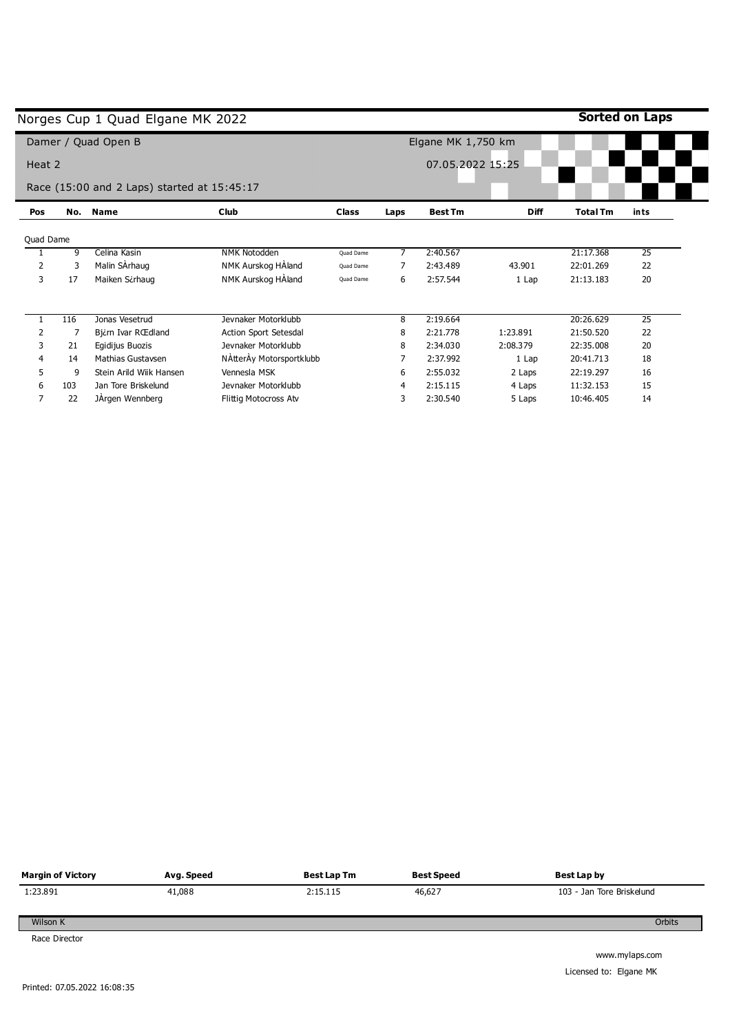|           |     | Norges Cup 1 Quad Elgane MK 2022            |                          |              |      |                    |             |                 | Sorted on Laps  |
|-----------|-----|---------------------------------------------|--------------------------|--------------|------|--------------------|-------------|-----------------|-----------------|
|           |     | Damer / Quad Open B                         |                          |              |      | Elgane MK 1,750 km |             |                 |                 |
| Heat 2    |     |                                             |                          |              |      | 07.05.2022 15:25   |             |                 |                 |
|           |     | Race (15:00 and 2 Laps) started at 15:45:17 |                          |              |      |                    |             |                 |                 |
| Pos       | No. | <b>Name</b>                                 | <b>Club</b>              | <b>Class</b> | Laps | <b>Best Tm</b>     | <b>Diff</b> | <b>Total Tm</b> | ints            |
| Quad Dame |     |                                             |                          |              |      |                    |             |                 |                 |
|           | 9   | Celina Kasin                                | <b>NMK Notodden</b>      | Quad Dame    |      | 2:40.567           |             | 21:17.368       | 25              |
| 2         | 3   | Malin SArhaug                               | NMK Aurskog HAland       | Quad Dame    |      | 2:43.489           | 43.901      | 22:01.269       | 22              |
| 3         | 17  | Maiken Sirhaug                              | NMK Aurskog HAland       | Quad Dame    | 6    | 2:57.544           | 1 Lap       | 21:13.183       | 20              |
|           | 116 | Jonas Vesetrud                              | Jevnaker Motorklubb      |              | 8    | 2:19.664           |             | 20:26.629       | $\overline{25}$ |
| 2         |     | Bj¿rn Ivar RŒdland                          | Action Sport Setesdal    |              | 8    | 2:21.778           | 1:23.891    | 21:50.520       | 22              |
| 3         | 21  | Egidijus Buozis                             | Jevnaker Motorklubb      |              | 8    | 2:34.030           | 2:08.379    | 22:35.008       | 20              |
| 4         | 14  | Mathias Gustavsen                           | NAtterAy Motorsportklubb |              |      | 2:37.992           | 1 Lap       | 20:41.713       | 18              |
| 5         | 9   | Stein Arild Wijk Hansen                     | Vennesla MSK             |              | 6    | 2:55.032           | 2 Laps      | 22:19.297       | 16              |
| 6         | 103 | Jan Tore Briskelund                         | Jevnaker Motorklubb      |              | 4    | 2:15.115           | 4 Laps      | 11:32.153       | 15              |
| 7         | 22  | JArgen Wennberg                             | Flittig Motocross Atv    |              | 3    | 2:30.540           | 5 Laps      | 10:46.405       | 14              |

| <b>Margin of Victory</b> | Avg. Speed | Best Lap Tm | <b>Best Speed</b> | Best Lap by               |
|--------------------------|------------|-------------|-------------------|---------------------------|
| 1:23.891                 | 41,088     | 2:15.115    | 46,627            | 103 - Jan Tore Briskelund |
| Wilson K                 |            |             |                   | Orbits                    |
| Race Director            |            |             |                   |                           |
|                          |            |             |                   | www.mylans.com            |

 $\overline{a}$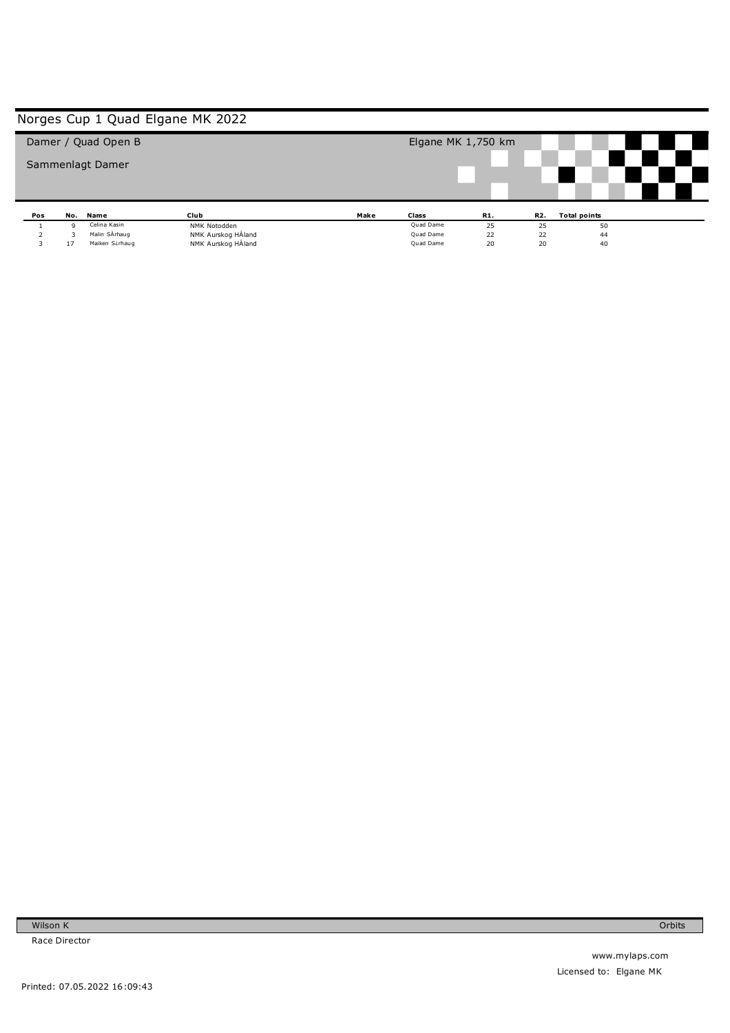|     |         | Damer / Quad Open B             |                                          |      | Elgane MK 1,750 km     |          |          |                     |  |
|-----|---------|---------------------------------|------------------------------------------|------|------------------------|----------|----------|---------------------|--|
|     |         |                                 |                                          |      |                        |          |          |                     |  |
|     |         | Sammenlagt Damer                |                                          |      |                        |          |          |                     |  |
|     |         |                                 |                                          |      |                        |          |          |                     |  |
|     |         |                                 |                                          |      |                        |          |          |                     |  |
|     |         |                                 |                                          |      |                        |          |          |                     |  |
|     |         |                                 |                                          |      |                        |          |          |                     |  |
|     |         |                                 |                                          |      |                        |          |          |                     |  |
| Pos | No.     | Name                            | Club                                     | Make | Class                  | R1.      | R2.      | <b>Total points</b> |  |
|     | q       | Celina Kasin                    | NMK Notodden                             |      | Quad Dame              | 25       | 25       | 50                  |  |
| 3   | 3<br>17 | Malin SÀrhaug<br>Maiken Sirhaug | NMK Aurskog HAland<br>NMK Aurskog HÀland |      | Quad Dame<br>Quad Dame | 22<br>20 | 22<br>20 | 44<br>40            |  |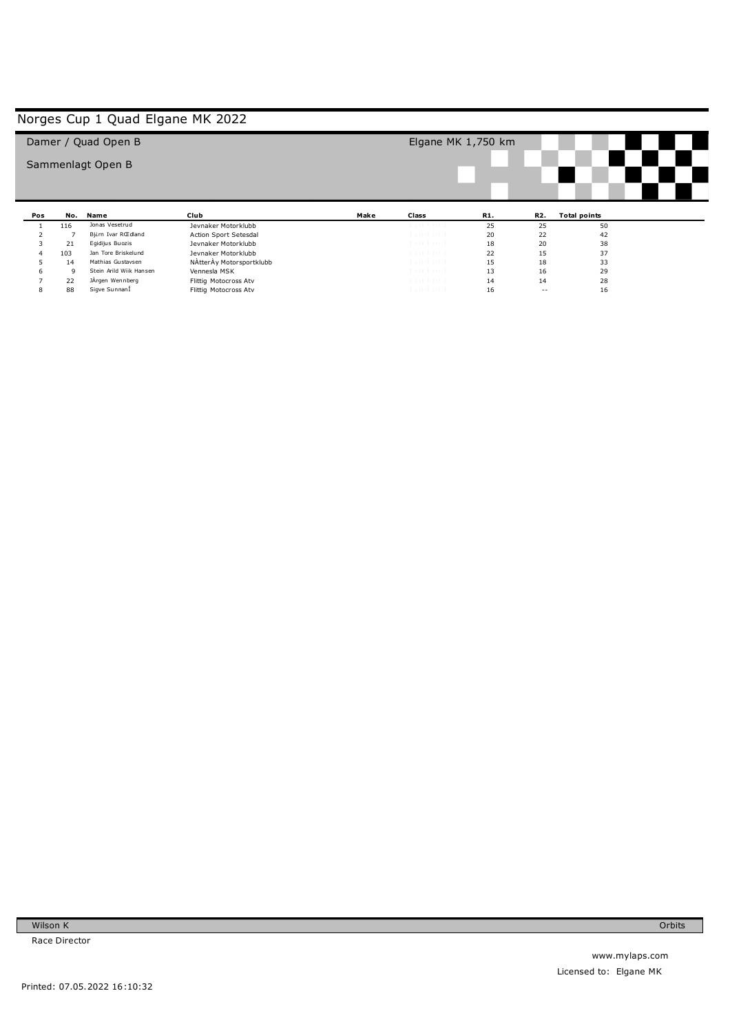|     |     | Damer / Quad Open B     |                          |      | Elgane MK $1,750$ km |     |     |                     |  |  |
|-----|-----|-------------------------|--------------------------|------|----------------------|-----|-----|---------------------|--|--|
|     |     | Sammenlagt Open B       |                          |      |                      |     |     |                     |  |  |
|     |     |                         |                          |      |                      |     |     |                     |  |  |
|     |     |                         |                          |      |                      |     |     |                     |  |  |
|     |     |                         |                          |      |                      |     |     |                     |  |  |
| Pos | No. | Name                    | Club                     | Make | Class                | R1. | R2. | <b>Total points</b> |  |  |
|     | 116 | Jonas Vesetrud          | Jevnaker Motorklubb      |      | tud turt             | 25  | 25  | 50                  |  |  |
|     |     | Bjirn Ivar RŒdland      | Action Sport Setesdal    |      | that has to          | 20  | 22  | 42                  |  |  |
| 3   | 21  | Eqidijus Buozis         | Jevnaker Motorklubb      |      | that has to          | 18  | 20  | 38                  |  |  |
|     | 103 | Jan Tore Briskelund     | Jevnaker Motorklubb      |      | dan barat            | 22  | 15  | 37                  |  |  |
|     | 14  | Mathias Gustavsen       | NAtterAy Motorsportklubb |      | dent knock.          | 15  | 18  | 33                  |  |  |
| 6   | 9   | Stein Arild Wiik Hansen | Vennesla MSK             |      | dan barat            | 13  | 16  | 29                  |  |  |
|     | 22  | JÅrgen Wennberg         | Flittig Motocross Atv    |      | dan barat            | 14  | 14  | 28                  |  |  |

Wilson K Race Director